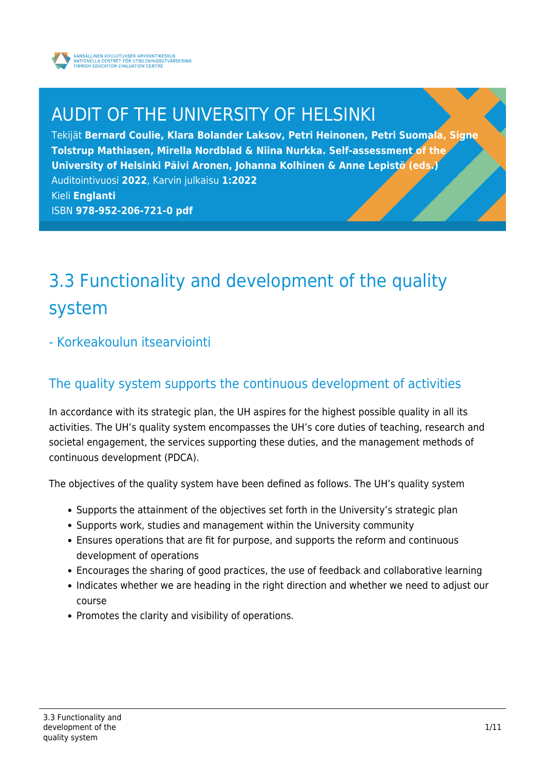

## AUDIT OF THE UNIVERSITY OF HELSINKI

Tekijät **Bernard Coulie, Klara Bolander Laksov, Petri Heinonen, Petri Suomala, Signe Tolstrup Mathiasen, Mirella Nordblad & Niina Nurkka. Self-assessment of the University of Helsinki Päivi Aronen, Johanna Kolhinen & Anne Lepistö (eds.)** Auditointivuosi **2022**, Karvin julkaisu **1:2022** Kieli **Englanti** ISBN **978-952-206-721-0 pdf**

## 3.3 Functionality and development of the quality system

#### - Korkeakoulun itsearviointi

### The quality system supports the continuous development of activities

In accordance with its strategic plan, the UH aspires for the highest possible quality in all its activities. The UH's quality system encompasses the UH's core duties of teaching, research and societal engagement, the services supporting these duties, and the management methods of continuous development (PDCA).

The objectives of the quality system have been defined as follows. The UH's quality system

- Supports the attainment of the objectives set forth in the University's strategic plan
- Supports work, studies and management within the University community
- Ensures operations that are fit for purpose, and supports the reform and continuous development of operations
- Encourages the sharing of good practices, the use of feedback and collaborative learning
- Indicates whether we are heading in the right direction and whether we need to adjust our course
- Promotes the clarity and visibility of operations.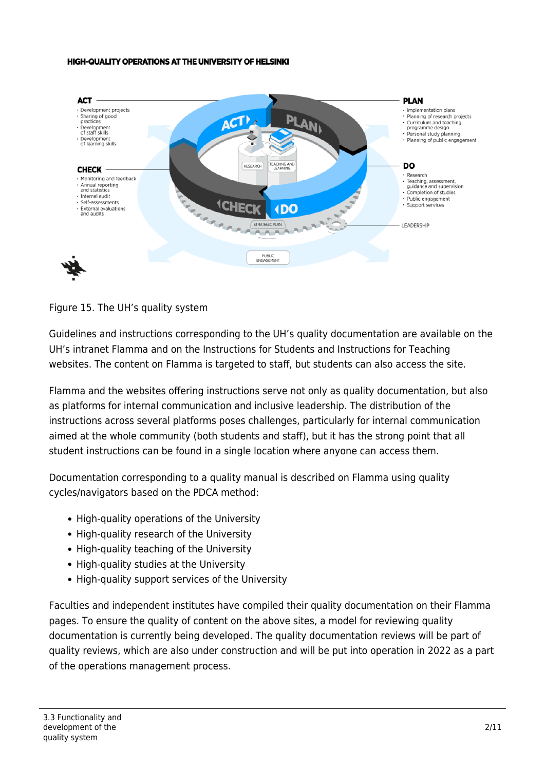#### **HIGH-QUALITY OPERATIONS AT THE UNIVERSITY OF HELSINKI**



#### Figure 15. The UH's quality system

Guidelines and instructions corresponding to the UH's quality documentation are available on the UH's intranet Flamma and on the Instructions for Students and Instructions for Teaching websites. The content on Flamma is targeted to staff, but students can also access the site.

Flamma and the websites offering instructions serve not only as quality documentation, but also as platforms for internal communication and inclusive leadership. The distribution of the instructions across several platforms poses challenges, particularly for internal communication aimed at the whole community (both students and staff), but it has the strong point that all student instructions can be found in a single location where anyone can access them.

Documentation corresponding to a quality manual is described on Flamma using quality cycles/navigators based on the PDCA method:

- High-quality operations of the University
- High-quality research of the University
- High-quality teaching of the University
- High-quality studies at the University
- High-quality support services of the University

Faculties and independent institutes have compiled their quality documentation on their Flamma pages. To ensure the quality of content on the above sites, a model for reviewing quality documentation is currently being developed. The quality documentation reviews will be part of quality reviews, which are also under construction and will be put into operation in 2022 as a part of the operations management process.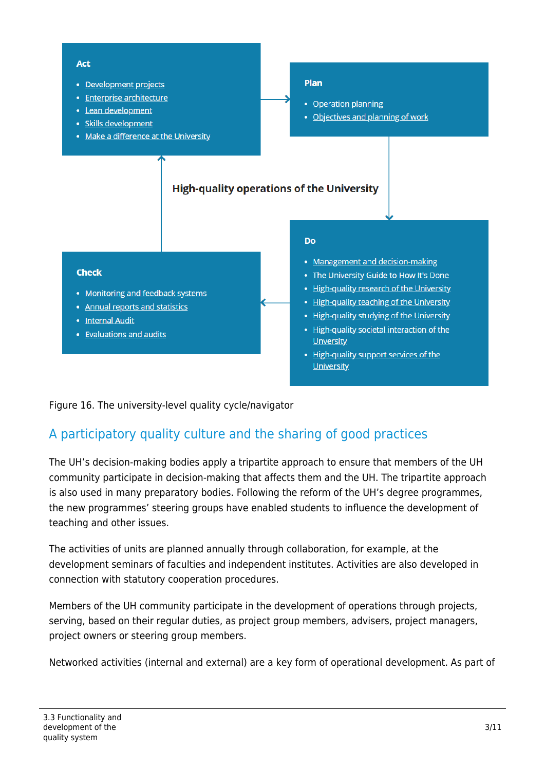

Figure 16. The university-level quality cycle/navigator

## A participatory quality culture and the sharing of good practices

The UH's decision-making bodies apply a tripartite approach to ensure that members of the UH community participate in decision-making that affects them and the UH. The tripartite approach is also used in many preparatory bodies. Following the reform of the UH's degree programmes, the new programmes' steering groups have enabled students to influence the development of teaching and other issues.

The activities of units are planned annually through collaboration, for example, at the development seminars of faculties and independent institutes. Activities are also developed in connection with statutory cooperation procedures.

Members of the UH community participate in the development of operations through projects, serving, based on their regular duties, as project group members, advisers, project managers, project owners or steering group members.

Networked activities (internal and external) are a key form of operational development. As part of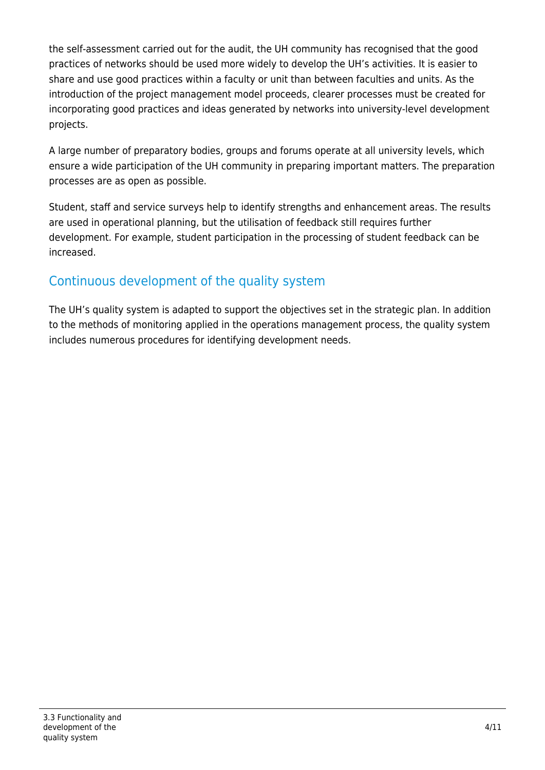the self-assessment carried out for the audit, the UH community has recognised that the good practices of networks should be used more widely to develop the UH's activities. It is easier to share and use good practices within a faculty or unit than between faculties and units. As the introduction of the project management model proceeds, clearer processes must be created for incorporating good practices and ideas generated by networks into university-level development projects.

A large number of preparatory bodies, groups and forums operate at all university levels, which ensure a wide participation of the UH community in preparing important matters. The preparation processes are as open as possible.

Student, staff and service surveys help to identify strengths and enhancement areas. The results are used in operational planning, but the utilisation of feedback still requires further development. For example, student participation in the processing of student feedback can be increased.

## Continuous development of the quality system

The UH's quality system is adapted to support the objectives set in the strategic plan. In addition to the methods of monitoring applied in the operations management process, the quality system includes numerous procedures for identifying development needs.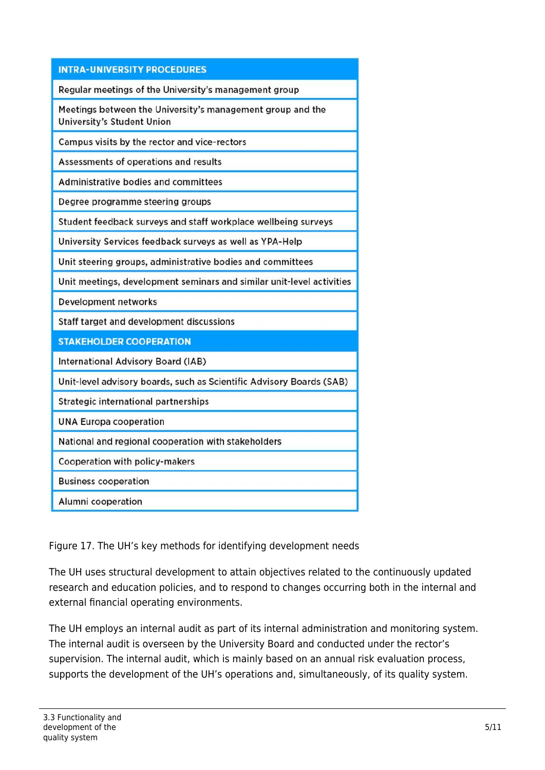| <b>INTRA-UNIVERSITY PROCEDURES</b>                                                              |  |  |  |  |
|-------------------------------------------------------------------------------------------------|--|--|--|--|
| Regular meetings of the University's management group                                           |  |  |  |  |
| Meetings between the University's management group and the<br><b>University's Student Union</b> |  |  |  |  |
| Campus visits by the rector and vice-rectors                                                    |  |  |  |  |
| Assessments of operations and results                                                           |  |  |  |  |
| <b>Administrative bodies and committees</b>                                                     |  |  |  |  |
| Degree programme steering groups                                                                |  |  |  |  |
| Student feedback surveys and staff workplace wellbeing surveys                                  |  |  |  |  |
| University Services feedback surveys as well as YPA-Help                                        |  |  |  |  |
| Unit steering groups, administrative bodies and committees                                      |  |  |  |  |
| Unit meetings, development seminars and similar unit-level activities                           |  |  |  |  |
| Development networks                                                                            |  |  |  |  |
| Staff target and development discussions                                                        |  |  |  |  |
| <b>STAKEHOLDER COOPERATION</b>                                                                  |  |  |  |  |
| <b>International Advisory Board (IAB)</b>                                                       |  |  |  |  |
| Unit-level advisory boards, such as Scientific Advisory Boards (SAB)                            |  |  |  |  |
| Strategic international partnerships                                                            |  |  |  |  |
| <b>UNA Europa cooperation</b>                                                                   |  |  |  |  |
| National and regional cooperation with stakeholders                                             |  |  |  |  |
| Cooperation with policy-makers                                                                  |  |  |  |  |
| <b>Business cooperation</b>                                                                     |  |  |  |  |
| Alumni cooperation                                                                              |  |  |  |  |

Figure 17. The UH's key methods for identifying development needs

The UH uses structural development to attain objectives related to the continuously updated research and education policies, and to respond to changes occurring both in the internal and external financial operating environments.

The UH employs an internal audit as part of its internal administration and monitoring system. The internal audit is overseen by the University Board and conducted under the rector's supervision. The internal audit, which is mainly based on an annual risk evaluation process, supports the development of the UH's operations and, simultaneously, of its quality system.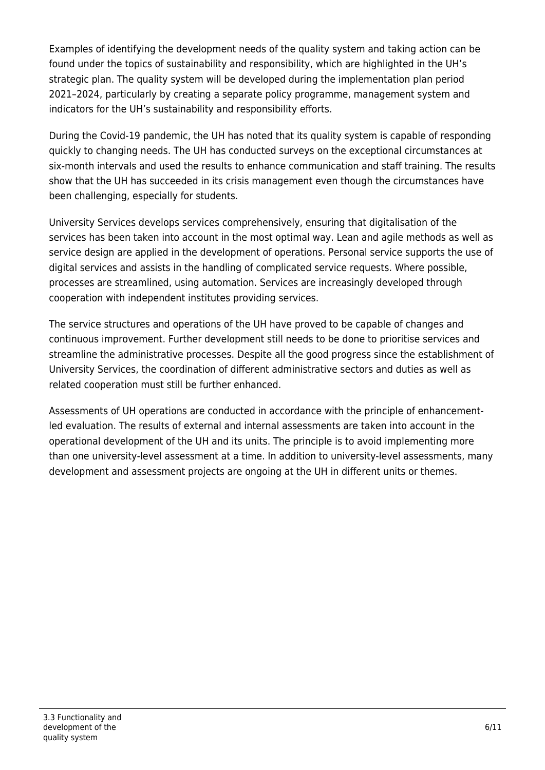Examples of identifying the development needs of the quality system and taking action can be found under the topics of sustainability and responsibility, which are highlighted in the UH's strategic plan. The quality system will be developed during the implementation plan period 2021–2024, particularly by creating a separate policy programme, management system and indicators for the UH's sustainability and responsibility efforts.

During the Covid-19 pandemic, the UH has noted that its quality system is capable of responding quickly to changing needs. The UH has conducted surveys on the exceptional circumstances at six-month intervals and used the results to enhance communication and staff training. The results show that the UH has succeeded in its crisis management even though the circumstances have been challenging, especially for students.

University Services develops services comprehensively, ensuring that digitalisation of the services has been taken into account in the most optimal way. Lean and agile methods as well as service design are applied in the development of operations. Personal service supports the use of digital services and assists in the handling of complicated service requests. Where possible, processes are streamlined, using automation. Services are increasingly developed through cooperation with independent institutes providing services.

The service structures and operations of the UH have proved to be capable of changes and continuous improvement. Further development still needs to be done to prioritise services and streamline the administrative processes. Despite all the good progress since the establishment of University Services, the coordination of different administrative sectors and duties as well as related cooperation must still be further enhanced.

Assessments of UH operations are conducted in accordance with the principle of enhancementled evaluation. The results of external and internal assessments are taken into account in the operational development of the UH and its units. The principle is to avoid implementing more than one university-level assessment at a time. In addition to university-level assessments, many development and assessment projects are ongoing at the UH in different units or themes.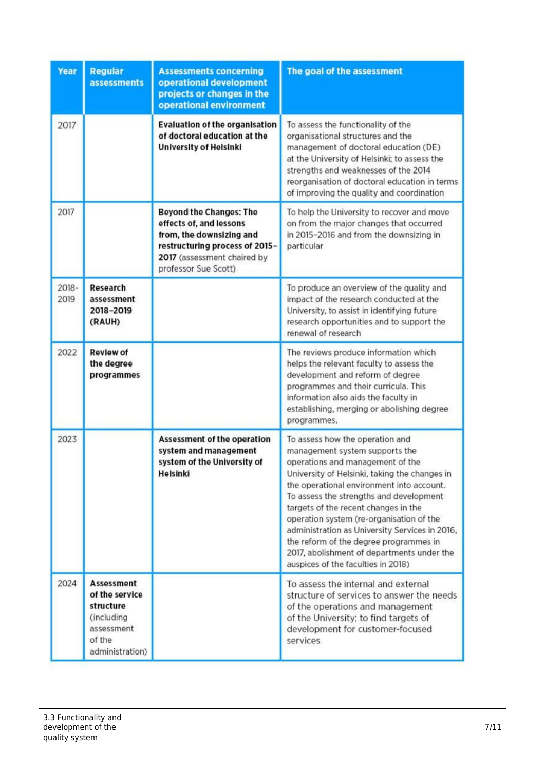| Year          | <b>Regular</b><br><b>assessments</b>                                                                      | <b>Assessments concerning</b><br>operational development<br>projects or changes in the<br>operational environment                                                              | The goal of the assessment                                                                                                                                                                                                                                                                                                                                                                                                                                                                                         |
|---------------|-----------------------------------------------------------------------------------------------------------|--------------------------------------------------------------------------------------------------------------------------------------------------------------------------------|--------------------------------------------------------------------------------------------------------------------------------------------------------------------------------------------------------------------------------------------------------------------------------------------------------------------------------------------------------------------------------------------------------------------------------------------------------------------------------------------------------------------|
| 2017          |                                                                                                           | <b>Evaluation of the organisation</b><br>of doctoral education at the<br><b>University of Helsinki</b>                                                                         | To assess the functionality of the<br>organisational structures and the<br>management of doctoral education (DE)<br>at the University of Helsinki; to assess the<br>strengths and weaknesses of the 2014<br>reorganisation of doctoral education in terms<br>of improving the quality and coordination                                                                                                                                                                                                             |
| 2017          |                                                                                                           | <b>Beyond the Changes: The</b><br>effects of, and lessons<br>from, the downsizing and<br>restructuring process of 2015-<br>2017 (assessment chaired by<br>professor Sue Scott) | To help the University to recover and move<br>on from the major changes that occurred<br>in 2015-2016 and from the downsizing in<br>particular                                                                                                                                                                                                                                                                                                                                                                     |
| 2018-<br>2019 | Research<br>assessment<br>2018-2019<br>(RAUH)                                                             |                                                                                                                                                                                | To produce an overview of the quality and<br>impact of the research conducted at the<br>University, to assist in identifying future<br>research opportunities and to support the<br>renewal of research                                                                                                                                                                                                                                                                                                            |
| 2022          | <b>Review of</b><br>the degree<br>programmes                                                              |                                                                                                                                                                                | The reviews produce information which<br>helps the relevant faculty to assess the<br>development and reform of degree<br>programmes and their curricula. This<br>information also aids the faculty in<br>establishing, merging or abolishing degree<br>programmes.                                                                                                                                                                                                                                                 |
| 2023          |                                                                                                           | Assessment of the operation<br>system and management<br>system of the University of<br>Helsinki                                                                                | To assess how the operation and<br>management system supports the<br>operations and management of the<br>University of Helsinki, taking the changes in<br>the operational environment into account.<br>To assess the strengths and development<br>targets of the recent changes in the<br>operation system (re-organisation of the<br>administration as University Services in 2016,<br>the reform of the degree programmes in<br>2017, abolishment of departments under the<br>auspices of the faculties in 2018) |
| 2024          | <b>Assessment</b><br>of the service<br>structure<br>(including<br>assessment<br>of the<br>administration) |                                                                                                                                                                                | To assess the internal and external<br>structure of services to answer the needs<br>of the operations and management<br>of the University; to find targets of<br>development for customer-focused<br>services                                                                                                                                                                                                                                                                                                      |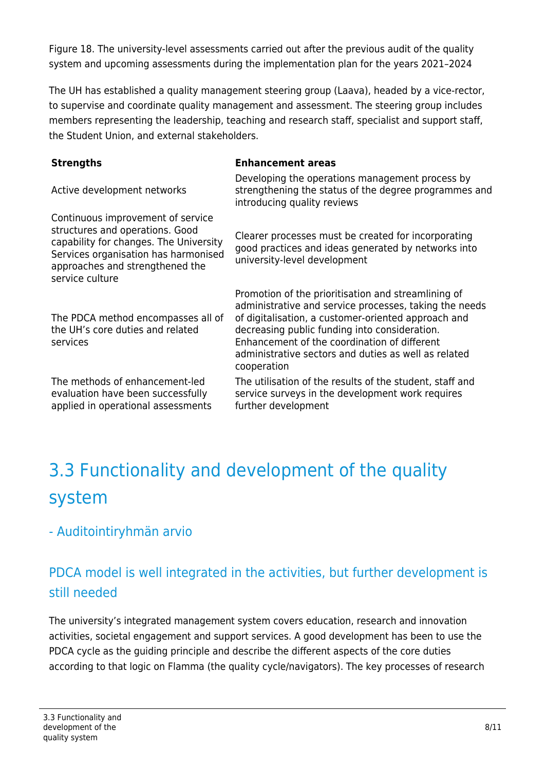Figure 18. The university-level assessments carried out after the previous audit of the quality system and upcoming assessments during the implementation plan for the years 2021–2024

The UH has established a quality management steering group (Laava), headed by a vice-rector, to supervise and coordinate quality management and assessment. The steering group includes members representing the leadership, teaching and research staff, specialist and support staff, the Student Union, and external stakeholders.

#### **Strengths Enhancement areas**

service culture

services

Active development networks Developing the operations management process by strengthening the status of the degree programmes and introducing quality reviews Continuous improvement of service structures and operations. Good

Clearer processes must be created for incorporating good practices and ideas generated by networks into university-level development

Promotion of the prioritisation and streamlining of administrative and service processes, taking the needs of digitalisation, a customer-oriented approach and decreasing public funding into consideration. Enhancement of the coordination of different administrative sectors and duties as well as related cooperation

The utilisation of the results of the student, staff and service surveys in the development work requires further development

# 3.3 Functionality and development of the quality system

## - Auditointiryhmän arvio

capability for changes. The University Services organisation has harmonised approaches and strengthened the

The PDCA method encompasses all of the UH's core duties and related

The methods of enhancement-led evaluation have been successfully applied in operational assessments

## PDCA model is well integrated in the activities, but further development is still needed

The university's integrated management system covers education, research and innovation activities, societal engagement and support services. A good development has been to use the PDCA cycle as the guiding principle and describe the different aspects of the core duties according to that logic on Flamma (the quality cycle/navigators). The key processes of research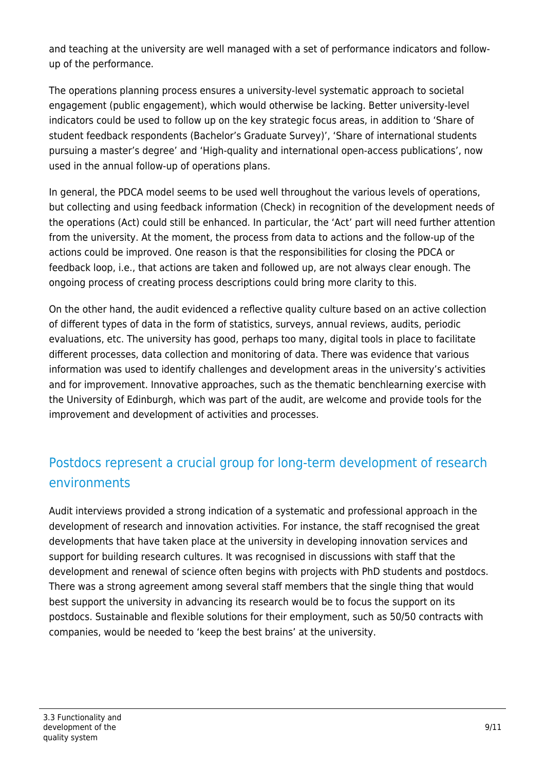and teaching at the university are well managed with a set of performance indicators and followup of the performance.

The operations planning process ensures a university-level systematic approach to societal engagement (public engagement), which would otherwise be lacking. Better university-level indicators could be used to follow up on the key strategic focus areas, in addition to 'Share of student feedback respondents (Bachelor's Graduate Survey)', 'Share of international students pursuing a master's degree' and 'High-quality and international open-access publications', now used in the annual follow-up of operations plans.

In general, the PDCA model seems to be used well throughout the various levels of operations, but collecting and using feedback information (Check) in recognition of the development needs of the operations (Act) could still be enhanced. In particular, the 'Act' part will need further attention from the university. At the moment, the process from data to actions and the follow-up of the actions could be improved. One reason is that the responsibilities for closing the PDCA or feedback loop, i.e., that actions are taken and followed up, are not always clear enough. The ongoing process of creating process descriptions could bring more clarity to this.

On the other hand, the audit evidenced a reflective quality culture based on an active collection of different types of data in the form of statistics, surveys, annual reviews, audits, periodic evaluations, etc. The university has good, perhaps too many, digital tools in place to facilitate different processes, data collection and monitoring of data. There was evidence that various information was used to identify challenges and development areas in the university's activities and for improvement. Innovative approaches, such as the thematic benchlearning exercise with the University of Edinburgh, which was part of the audit, are welcome and provide tools for the improvement and development of activities and processes.

## Postdocs represent a crucial group for long-term development of research environments

Audit interviews provided a strong indication of a systematic and professional approach in the development of research and innovation activities. For instance, the staff recognised the great developments that have taken place at the university in developing innovation services and support for building research cultures. It was recognised in discussions with staff that the development and renewal of science often begins with projects with PhD students and postdocs. There was a strong agreement among several staff members that the single thing that would best support the university in advancing its research would be to focus the support on its postdocs. Sustainable and flexible solutions for their employment, such as 50/50 contracts with companies, would be needed to 'keep the best brains' at the university.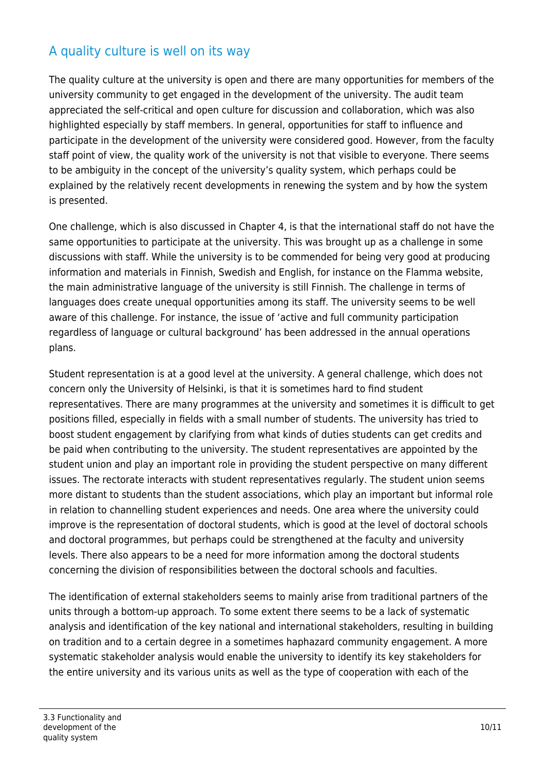## A quality culture is well on its way

The quality culture at the university is open and there are many opportunities for members of the university community to get engaged in the development of the university. The audit team appreciated the self-critical and open culture for discussion and collaboration, which was also highlighted especially by staff members. In general, opportunities for staff to influence and participate in the development of the university were considered good. However, from the faculty staff point of view, the quality work of the university is not that visible to everyone. There seems to be ambiguity in the concept of the university's quality system, which perhaps could be explained by the relatively recent developments in renewing the system and by how the system is presented.

One challenge, which is also discussed in Chapter 4, is that the international staff do not have the same opportunities to participate at the university. This was brought up as a challenge in some discussions with staff. While the university is to be commended for being very good at producing information and materials in Finnish, Swedish and English, for instance on the Flamma website, the main administrative language of the university is still Finnish. The challenge in terms of languages does create unequal opportunities among its staff. The university seems to be well aware of this challenge. For instance, the issue of 'active and full community participation regardless of language or cultural background' has been addressed in the annual operations plans.

Student representation is at a good level at the university. A general challenge, which does not concern only the University of Helsinki, is that it is sometimes hard to find student representatives. There are many programmes at the university and sometimes it is difficult to get positions filled, especially in fields with a small number of students. The university has tried to boost student engagement by clarifying from what kinds of duties students can get credits and be paid when contributing to the university. The student representatives are appointed by the student union and play an important role in providing the student perspective on many different issues. The rectorate interacts with student representatives regularly. The student union seems more distant to students than the student associations, which play an important but informal role in relation to channelling student experiences and needs. One area where the university could improve is the representation of doctoral students, which is good at the level of doctoral schools and doctoral programmes, but perhaps could be strengthened at the faculty and university levels. There also appears to be a need for more information among the doctoral students concerning the division of responsibilities between the doctoral schools and faculties.

The identification of external stakeholders seems to mainly arise from traditional partners of the units through a bottom-up approach. To some extent there seems to be a lack of systematic analysis and identification of the key national and international stakeholders, resulting in building on tradition and to a certain degree in a sometimes haphazard community engagement. A more systematic stakeholder analysis would enable the university to identify its key stakeholders for the entire university and its various units as well as the type of cooperation with each of the